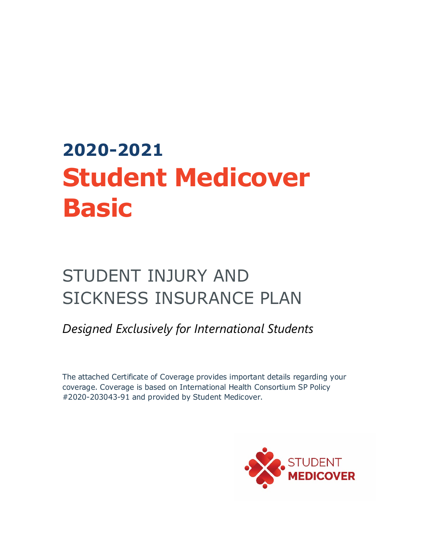# **2020-2021 Student Medicover Basic**

## STUDENT INJURY AND SICKNESS INSURANCE PLAN

*Designed Exclusively for International Students*

The attached Certificate of Coverage provides important details regarding your coverage. Coverage is based on International Health Consortium SP Policy #2020-203043-91 and provided by Student Medicover.

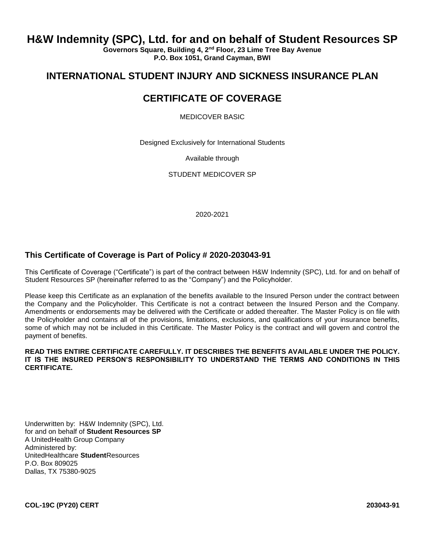## **H&W Indemnity (SPC), Ltd. for and on behalf of Student Resources SP**

**Governors Square, Building 4, 2nd Floor, 23 Lime Tree Bay Avenue P.O. Box 1051, Grand Cayman, BWI**

## **INTERNATIONAL STUDENT INJURY AND SICKNESS INSURANCE PLAN**

## **CERTIFICATE OF COVERAGE**

MEDICOVER BASIC

Designed Exclusively for International Students

Available through

STUDENT MEDICOVER SP

2020-2021

#### **This Certificate of Coverage is Part of Policy # 2020-203043-91**

This Certificate of Coverage ("Certificate") is part of the contract between H&W Indemnity (SPC), Ltd. for and on behalf of Student Resources SP (hereinafter referred to as the "Company") and the Policyholder.

Please keep this Certificate as an explanation of the benefits available to the Insured Person under the contract between the Company and the Policyholder. This Certificate is not a contract between the Insured Person and the Company. Amendments or endorsements may be delivered with the Certificate or added thereafter. The Master Policy is on file with the Policyholder and contains all of the provisions, limitations, exclusions, and qualifications of your insurance benefits, some of which may not be included in this Certificate. The Master Policy is the contract and will govern and control the payment of benefits.

#### **READ THIS ENTIRE CERTIFICATE CAREFULLY. IT DESCRIBES THE BENEFITS AVAILABLE UNDER THE POLICY. IT IS THE INSURED PERSON'S RESPONSIBILITY TO UNDERSTAND THE TERMS AND CONDITIONS IN THIS CERTIFICATE.**

Underwritten by: H&W Indemnity (SPC), Ltd. for and on behalf of **Student Resources SP** A UnitedHealth Group Company Administered by: UnitedHealthcare **Student**Resources P.O. Box 809025 Dallas, TX 75380-9025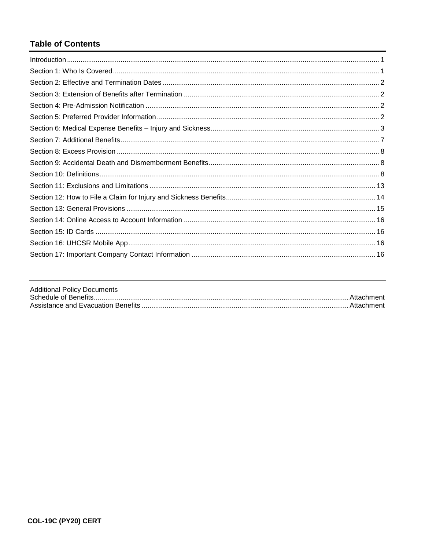## **Table of Contents**

| <b>Additional Policy Documents</b> |  |
|------------------------------------|--|
|                                    |  |
|                                    |  |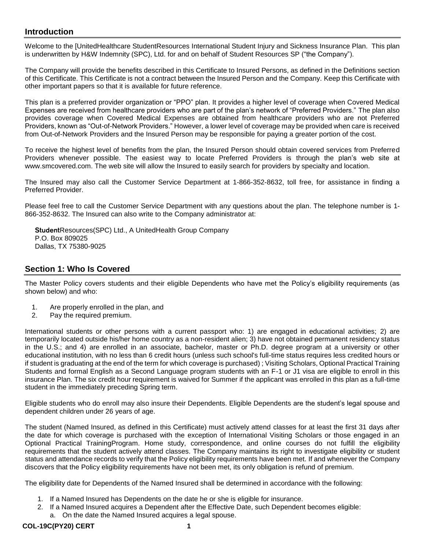#### <span id="page-3-0"></span>**Introduction**

Welcome to the [UnitedHealthcare StudentResources International Student Injury and Sickness Insurance Plan. This plan is underwritten by H&W Indemnity (SPC), Ltd. for and on behalf of Student Resources SP ("the Company").

The Company will provide the benefits described in this Certificate to Insured Persons, as defined in the Definitions section of this Certificate. This Certificate is not a contract between the Insured Person and the Company. Keep this Certificate with other important papers so that it is available for future reference.

This plan is a preferred provider organization or "PPO" plan. It provides a higher level of coverage when Covered Medical Expenses are received from healthcare providers who are part of the plan's network of "Preferred Providers." The plan also provides coverage when Covered Medical Expenses are obtained from healthcare providers who are not Preferred Providers, known as "Out-of-Network Providers." However, a lower level of coverage may be provided when care is received from Out-of-Network Providers and the Insured Person may be responsible for paying a greater portion of the cost.

To receive the highest level of benefits from the plan, the Insured Person should obtain covered services from Preferred Providers whenever possible. The easiest way to locate Preferred Providers is through the plan's web site at www.smcovered.com. The web site will allow the Insured to easily search for providers by specialty and location.

The Insured may also call the Customer Service Department at 1-866-352-8632, toll free, for assistance in finding a Preferred Provider.

Please feel free to call the Customer Service Department with any questions about the plan. The telephone number is 1- 866-352-8632. The Insured can also write to the Company administrator at:

StudentResources(SPC) Ltd., A UnitedHealth Group Company P.O. Box 809025 Dallas, TX 75380-9025

#### <span id="page-3-1"></span>**Section 1: Who Is Covered**

The Master Policy covers students and their eligible Dependents who have met the Policy's eligibility requirements (as shown below) and who:

- 1. Are properly enrolled in the plan, and
- 2. Pay the required premium.

International students or other persons with a current passport who: 1) are engaged in educational activities; 2) are temporarily located outside his/her home country as a non-resident alien; 3) have not obtained permanent residency status in the U.S.; and 4) are enrolled in an associate, bachelor, master or Ph.D. degree program at a university or other educational institution, with no less than 6 credit hours (unless such school's full-time status requires less credited hours or if student is graduating at the end of the term for which coverage is purchased) ; Visiting Scholars, Optional Practical Training Students and formal English as a Second Language program students with an F-1 or J1 visa are eligible to enroll in this insurance Plan. The six credit hour requirement is waived for Summer if the applicant was enrolled in this plan as a full-time student in the immediately preceding Spring term.

Eligible students who do enroll may also insure their Dependents. Eligible Dependents are the student's legal spouse and dependent children under 26 years of age.

The student (Named Insured, as defined in this Certificate) must actively attend classes for at least the first 31 days after the date for which coverage is purchased with the exception of International Visiting Scholars or those engaged in an Optional Practical TrainingProgram. Home study, correspondence, and online courses do not fulfill the eligibility requirements that the student actively attend classes. The Company maintains its right to investigate eligibility or student status and attendance records to verify that the Policy eligibility requirements have been met. If and whenever the Company discovers that the Policy eligibility requirements have not been met, its only obligation is refund of premium.

The eligibility date for Dependents of the Named Insured shall be determined in accordance with the following:

- 1. If a Named Insured has Dependents on the date he or she is eligible for insurance.
- 2. If a Named Insured acquires a Dependent after the Effective Date, such Dependent becomes eligible:
	- a. On the date the Named Insured acquires a legal spouse.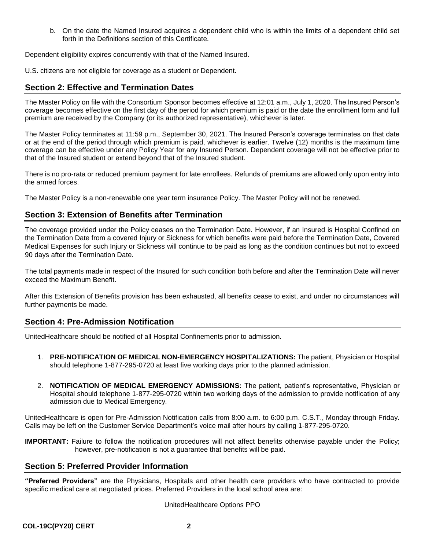b. On the date the Named Insured acquires a dependent child who is within the limits of a dependent child set forth in the Definitions section of this Certificate.

Dependent eligibility expires concurrently with that of the Named Insured.

U.S. citizens are not eligible for coverage as a student or Dependent.

#### <span id="page-4-0"></span>**Section 2: Effective and Termination Dates**

The Master Policy on file with the Consortium Sponsor becomes effective at 12:01 a.m., July 1, 2020. The Insured Person's coverage becomes effective on the first day of the period for which premium is paid or the date the enrollment form and full premium are received by the Company (or its authorized representative), whichever is later.

The Master Policy terminates at 11:59 p.m., September 30, 2021. The Insured Person's coverage terminates on that date or at the end of the period through which premium is paid, whichever is earlier. Twelve (12) months is the maximum time coverage can be effective under any Policy Year for any Insured Person. Dependent coverage will not be effective prior to that of the Insured student or extend beyond that of the Insured student.

There is no pro-rata or reduced premium payment for late enrollees. Refunds of premiums are allowed only upon entry into the armed forces.

The Master Policy is a non-renewable one year term insurance Policy. The Master Policy will not be renewed.

#### <span id="page-4-1"></span>**Section 3: Extension of Benefits after Termination**

The coverage provided under the Policy ceases on the Termination Date. However, if an Insured is Hospital Confined on the Termination Date from a covered Injury or Sickness for which benefits were paid before the Termination Date, Covered Medical Expenses for such Injury or Sickness will continue to be paid as long as the condition continues but not to exceed 90 days after the Termination Date.

The total payments made in respect of the Insured for such condition both before and after the Termination Date will never exceed the Maximum Benefit.

After this Extension of Benefits provision has been exhausted, all benefits cease to exist, and under no circumstances will further payments be made.

#### <span id="page-4-2"></span>**Section 4: Pre-Admission Notification**

UnitedHealthcare should be notified of all Hospital Confinements prior to admission.

- 1. **PRE-NOTIFICATION OF MEDICAL NON-EMERGENCY HOSPITALIZATIONS:** The patient, Physician or Hospital should telephone 1-877-295-0720 at least five working days prior to the planned admission.
- 2. **NOTIFICATION OF MEDICAL EMERGENCY ADMISSIONS:** The patient, patient's representative, Physician or Hospital should telephone 1-877-295-0720 within two working days of the admission to provide notification of any admission due to Medical Emergency.

UnitedHealthcare is open for Pre-Admission Notification calls from 8:00 a.m. to 6:00 p.m. C.S.T., Monday through Friday. Calls may be left on the Customer Service Department's voice mail after hours by calling 1-877-295-0720.

**IMPORTANT:** Failure to follow the notification procedures will not affect benefits otherwise payable under the Policy; however, pre-notification is not a guarantee that benefits will be paid.

#### <span id="page-4-3"></span>**Section 5: Preferred Provider Information**

**"Preferred Providers"** are the Physicians, Hospitals and other health care providers who have contracted to provide specific medical care at negotiated prices. Preferred Providers in the local school area are:

#### UnitedHealthcare Options PPO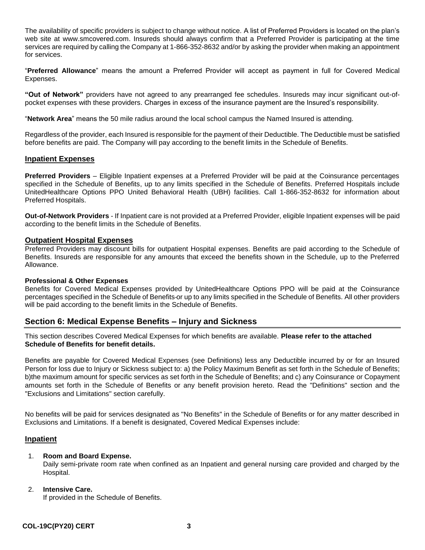The availability of specific providers is subject to change without notice. A list of Preferred Providers is located on the plan's web site at www.smcovered.com. Insureds should always confirm that a Preferred Provider is participating at the time services are required by calling the Company at 1-866-352-8632 and/or by asking the provider when making an appointment for services.

"**Preferred Allowance**" means the amount a Preferred Provider will accept as payment in full for Covered Medical Expenses.

**"Out of Network"** providers have not agreed to any prearranged fee schedules. Insureds may incur significant out-ofpocket expenses with these providers. Charges in excess of the insurance payment are the Insured's responsibility.

"**Network Area**" means the 50 mile radius around the local school campus the Named Insured is attending.

Regardless of the provider, each Insured is responsible for the payment of their Deductible. The Deductible must be satisfied before benefits are paid. The Company will pay according to the benefit limits in the Schedule of Benefits.

#### **Inpatient Expenses**

**Preferred Providers** – Eligible Inpatient expenses at a Preferred Provider will be paid at the Coinsurance percentages specified in the Schedule of Benefits, up to any limits specified in the Schedule of Benefits. Preferred Hospitals include UnitedHealthcare Options PPO United Behavioral Health (UBH) facilities. Call 1-866-352-8632 for information about Preferred Hospitals.

**Out-of-Network Providers** - If Inpatient care is not provided at a Preferred Provider, eligible Inpatient expenses will be paid according to the benefit limits in the Schedule of Benefits.

#### **Outpatient Hospital Expenses**

Preferred Providers may discount bills for outpatient Hospital expenses. Benefits are paid according to the Schedule of Benefits. Insureds are responsible for any amounts that exceed the benefits shown in the Schedule, up to the Preferred Allowance.

#### **Professional & Other Expenses**

Benefits for Covered Medical Expenses provided by UnitedHealthcare Options PPO will be paid at the Coinsurance percentages specified in the Schedule of Benefits or up to any limits specified in the Schedule of Benefits. All other providers will be paid according to the benefit limits in the Schedule of Benefits.

#### <span id="page-5-0"></span>**Section 6: Medical Expense Benefits – Injury and Sickness**

This section describes Covered Medical Expenses for which benefits are available. **Please refer to the attached Schedule of Benefits for benefit details.**

Benefits are payable for Covered Medical Expenses (see Definitions) less any Deductible incurred by or for an Insured Person for loss due to Injury or Sickness subject to: a) the Policy Maximum Benefit as set forth in the Schedule of Benefits; b)the maximum amount for specific services as set forth in the Schedule of Benefits; and c) any Coinsurance or Copayment amounts set forth in the Schedule of Benefits or any benefit provision hereto. Read the "Definitions" section and the "Exclusions and Limitations" section carefully.

No benefits will be paid for services designated as "No Benefits" in the Schedule of Benefits or for any matter described in Exclusions and Limitations. If a benefit is designated, Covered Medical Expenses include:

#### **Inpatient**

#### 1. **Room and Board Expense.**

Daily semi-private room rate when confined as an Inpatient and general nursing care provided and charged by the Hospital.

#### 2. **Intensive Care.**

If provided in the Schedule of Benefits.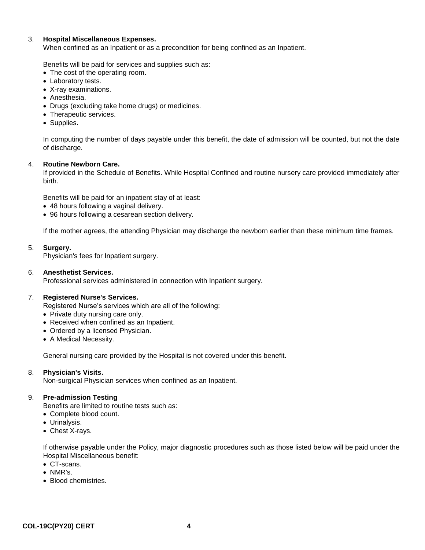#### 3. **Hospital Miscellaneous Expenses.**

When confined as an Inpatient or as a precondition for being confined as an Inpatient.

Benefits will be paid for services and supplies such as:

- The cost of the operating room.
- Laboratory tests.
- X-ray examinations.
- Anesthesia.
- Drugs (excluding take home drugs) or medicines.
- Therapeutic services.
- Supplies.

In computing the number of days payable under this benefit, the date of admission will be counted, but not the date of discharge.

#### 4. **Routine Newborn Care.**

If provided in the Schedule of Benefits. While Hospital Confined and routine nursery care provided immediately after birth.

Benefits will be paid for an inpatient stay of at least:

- 48 hours following a vaginal delivery.
- 96 hours following a cesarean section delivery.

If the mother agrees, the attending Physician may discharge the newborn earlier than these minimum time frames.

#### 5. **Surgery.**

Physician's fees for Inpatient surgery.

#### 6. **Anesthetist Services.**

Professional services administered in connection with Inpatient surgery.

#### 7. **Registered Nurse's Services.**

Registered Nurse's services which are all of the following:

- Private duty nursing care only.
- Received when confined as an Inpatient.
- Ordered by a licensed Physician.
- A Medical Necessity.

General nursing care provided by the Hospital is not covered under this benefit.

#### 8. **Physician's Visits.**

Non-surgical Physician services when confined as an Inpatient.

#### 9. **Pre-admission Testing**

Benefits are limited to routine tests such as:

- Complete blood count.
- Urinalysis.
- Chest X-rays.

If otherwise payable under the Policy, major diagnostic procedures such as those listed below will be paid under the Hospital Miscellaneous benefit:

- CT-scans.
- NMR's.
- Blood chemistries.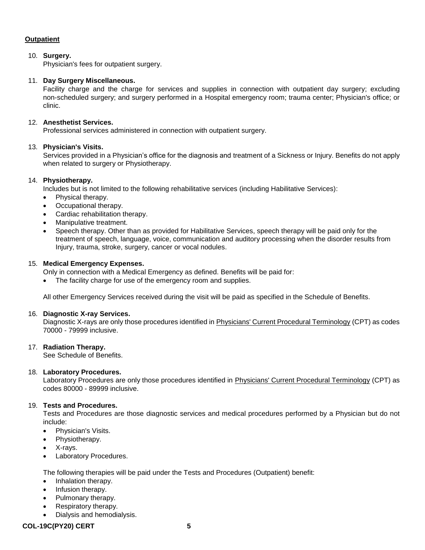#### **Outpatient**

#### 10. **Surgery.**

Physician's fees for outpatient surgery.

#### 11. **Day Surgery Miscellaneous.**

Facility charge and the charge for services and supplies in connection with outpatient day surgery; excluding non-scheduled surgery; and surgery performed in a Hospital emergency room; trauma center; Physician's office; or clinic.

#### 12. **Anesthetist Services.**

Professional services administered in connection with outpatient surgery.

#### 13. **Physician's Visits.**

Services provided in a Physician's office for the diagnosis and treatment of a Sickness or Injury. Benefits do not apply when related to surgery or Physiotherapy.

#### 14. **Physiotherapy.**

Includes but is not limited to the following rehabilitative services (including Habilitative Services):

- Physical therapy.
- Occupational therapy.
- Cardiac rehabilitation therapy.
- Manipulative treatment.
- Speech therapy. Other than as provided for Habilitative Services, speech therapy will be paid only for the treatment of speech, language, voice, communication and auditory processing when the disorder results from Injury, trauma, stroke, surgery, cancer or vocal nodules.

#### 15. **Medical Emergency Expenses.**

Only in connection with a Medical Emergency as defined. Benefits will be paid for:

• The facility charge for use of the emergency room and supplies.

All other Emergency Services received during the visit will be paid as specified in the Schedule of Benefits.

#### 16. **Diagnostic X-ray Services.**

Diagnostic X-rays are only those procedures identified in Physicians' Current Procedural Terminology (CPT) as codes 70000 - 79999 inclusive.

#### 17. **Radiation Therapy.**

See Schedule of Benefits.

#### 18. **Laboratory Procedures.**

Laboratory Procedures are only those procedures identified in Physicians' Current Procedural Terminology (CPT) as codes 80000 - 89999 inclusive.

#### 19. **Tests and Procedures.**

Tests and Procedures are those diagnostic services and medical procedures performed by a Physician but do not include:

- Physician's Visits.
- Physiotherapy.
- X-rays.
- Laboratory Procedures.

The following therapies will be paid under the Tests and Procedures (Outpatient) benefit:

- Inhalation therapy.
- Infusion therapy.
- Pulmonary therapy.
- Respiratory therapy.
- Dialysis and hemodialysis.

#### **COL-19C(PY20) CERT 5**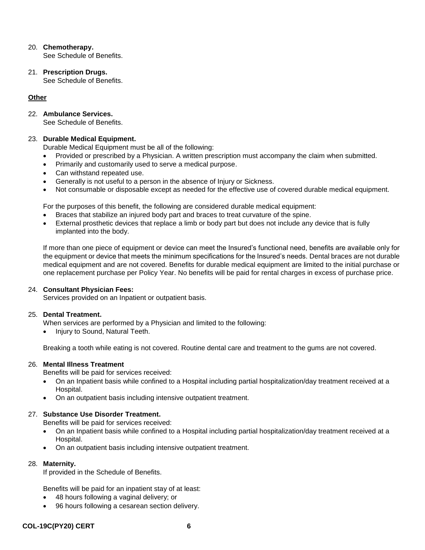#### 20. **Chemotherapy.**

See Schedule of Benefits.

21. **Prescription Drugs.** See Schedule of Benefits.

#### **Other**

#### 22. **Ambulance Services.**

See Schedule of Benefits.

#### 23. **Durable Medical Equipment.**

Durable Medical Equipment must be all of the following:

- Provided or prescribed by a Physician. A written prescription must accompany the claim when submitted.
- Primarily and customarily used to serve a medical purpose.
- Can withstand repeated use.
- Generally is not useful to a person in the absence of Injury or Sickness.
- Not consumable or disposable except as needed for the effective use of covered durable medical equipment.

For the purposes of this benefit, the following are considered durable medical equipment:

- Braces that stabilize an injured body part and braces to treat curvature of the spine.
- External prosthetic devices that replace a limb or body part but does not include any device that is fully implanted into the body.

If more than one piece of equipment or device can meet the Insured's functional need, benefits are available only for the equipment or device that meets the minimum specifications for the Insured's needs. Dental braces are not durable medical equipment and are not covered. Benefits for durable medical equipment are limited to the initial purchase or one replacement purchase per Policy Year. No benefits will be paid for rental charges in excess of purchase price.

#### 24. **Consultant Physician Fees:**

Services provided on an Inpatient or outpatient basis.

#### 25. **Dental Treatment.**

When services are performed by a Physician and limited to the following:

Injury to Sound, Natural Teeth.

Breaking a tooth while eating is not covered. Routine dental care and treatment to the gums are not covered.

#### 26. **Mental Illness Treatment**

Benefits will be paid for services received:

- On an Inpatient basis while confined to a Hospital including partial hospitalization/day treatment received at a Hospital.
- On an outpatient basis including intensive outpatient treatment.

#### 27. **Substance Use Disorder Treatment.**

Benefits will be paid for services received:

- On an Inpatient basis while confined to a Hospital including partial hospitalization/day treatment received at a Hospital.
- On an outpatient basis including intensive outpatient treatment.

#### 28. **Maternity.**

If provided in the Schedule of Benefits.

Benefits will be paid for an inpatient stay of at least:

- 48 hours following a vaginal delivery; or
- 96 hours following a cesarean section delivery.

#### **COL-19C(PY20) CERT 6**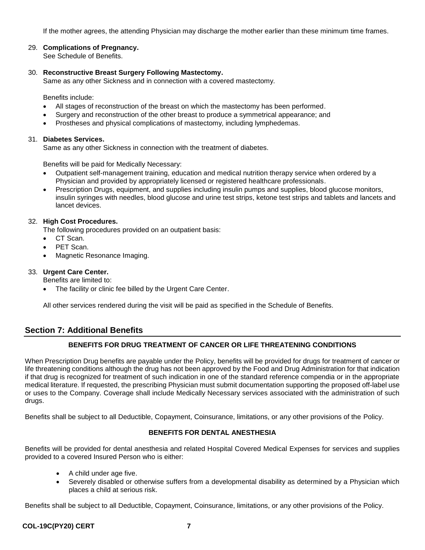If the mother agrees, the attending Physician may discharge the mother earlier than these minimum time frames.

#### 29. **Complications of Pregnancy.**

See Schedule of Benefits.

#### 30. **Reconstructive Breast Surgery Following Mastectomy.**

Same as any other Sickness and in connection with a covered mastectomy.

Benefits include:

- All stages of reconstruction of the breast on which the mastectomy has been performed.
- Surgery and reconstruction of the other breast to produce a symmetrical appearance; and
- Prostheses and physical complications of mastectomy, including lymphedemas.

#### 31. **Diabetes Services.**

Same as any other Sickness in connection with the treatment of diabetes.

Benefits will be paid for Medically Necessary:

- Outpatient self-management training, education and medical nutrition therapy service when ordered by a Physician and provided by appropriately licensed or registered healthcare professionals.
- Prescription Drugs, equipment, and supplies including insulin pumps and supplies, blood glucose monitors, insulin syringes with needles, blood glucose and urine test strips, ketone test strips and tablets and lancets and lancet devices.

#### 32. **High Cost Procedures.**

The following procedures provided on an outpatient basis:

- CT Scan.
- PET Scan.
- Magnetic Resonance Imaging.

#### 33. **Urgent Care Center.**

Benefits are limited to:

The facility or clinic fee billed by the Urgent Care Center.

All other services rendered during the visit will be paid as specified in the Schedule of Benefits.

#### <span id="page-9-0"></span>**Section 7: Additional Benefits**

#### **BENEFITS FOR DRUG TREATMENT OF CANCER OR LIFE THREATENING CONDITIONS**

When Prescription Drug benefits are payable under the Policy, benefits will be provided for drugs for treatment of cancer or life threatening conditions although the drug has not been approved by the Food and Drug Administration for that indication if that drug is recognized for treatment of such indication in one of the standard reference compendia or in the appropriate medical literature. If requested, the prescribing Physician must submit documentation supporting the proposed off-label use or uses to the Company. Coverage shall include Medically Necessary services associated with the administration of such drugs.

Benefits shall be subject to all Deductible, Copayment, Coinsurance, limitations, or any other provisions of the Policy.

#### **BENEFITS FOR DENTAL ANESTHESIA**

Benefits will be provided for dental anesthesia and related Hospital Covered Medical Expenses for services and supplies provided to a covered Insured Person who is either:

- A child under age five.
- Severely disabled or otherwise suffers from a developmental disability as determined by a Physician which places a child at serious risk.

Benefits shall be subject to all Deductible, Copayment, Coinsurance, limitations, or any other provisions of the Policy.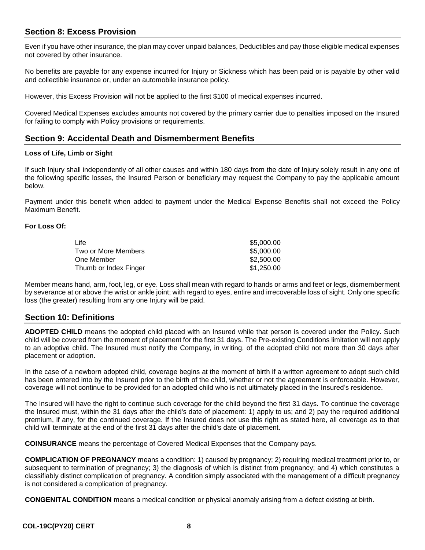#### <span id="page-10-0"></span>**Section 8: Excess Provision**

Even if you have other insurance, the plan may cover unpaid balances, Deductibles and pay those eligible medical expenses not covered by other insurance.

No benefits are payable for any expense incurred for Injury or Sickness which has been paid or is payable by other valid and collectible insurance or, under an automobile insurance policy.

However, this Excess Provision will not be applied to the first \$100 of medical expenses incurred.

Covered Medical Expenses excludes amounts not covered by the primary carrier due to penalties imposed on the Insured for failing to comply with Policy provisions or requirements.

#### <span id="page-10-1"></span>**Section 9: Accidental Death and Dismemberment Benefits**

#### **Loss of Life, Limb or Sight**

If such Injury shall independently of all other causes and within 180 days from the date of Injury solely result in any one of the following specific losses, the Insured Person or beneficiary may request the Company to pay the applicable amount below.

Payment under this benefit when added to payment under the Medical Expense Benefits shall not exceed the Policy Maximum Benefit.

#### **For Loss Of:**

| Life                  | \$5,000,00 |
|-----------------------|------------|
| Two or More Members   | \$5,000.00 |
| One Member            | \$2,500.00 |
| Thumb or Index Finger | \$1,250.00 |

Member means hand, arm, foot, leg, or eye. Loss shall mean with regard to hands or arms and feet or legs, dismemberment by severance at or above the wrist or ankle joint; with regard to eyes, entire and irrecoverable loss of sight. Only one specific loss (the greater) resulting from any one Injury will be paid.

#### <span id="page-10-2"></span>**Section 10: Definitions**

**ADOPTED CHILD** means the adopted child placed with an Insured while that person is covered under the Policy. Such child will be covered from the moment of placement for the first 31 days. The Pre-existing Conditions limitation will not apply to an adoptive child. The Insured must notify the Company, in writing, of the adopted child not more than 30 days after placement or adoption.

In the case of a newborn adopted child, coverage begins at the moment of birth if a written agreement to adopt such child has been entered into by the Insured prior to the birth of the child, whether or not the agreement is enforceable. However, coverage will not continue to be provided for an adopted child who is not ultimately placed in the Insured's residence.

The Insured will have the right to continue such coverage for the child beyond the first 31 days. To continue the coverage the Insured must, within the 31 days after the child's date of placement: 1) apply to us; and 2) pay the required additional premium, if any, for the continued coverage. If the Insured does not use this right as stated here, all coverage as to that child will terminate at the end of the first 31 days after the child's date of placement.

**COINSURANCE** means the percentage of Covered Medical Expenses that the Company pays.

**COMPLICATION OF PREGNANCY** means a condition: 1) caused by pregnancy; 2) requiring medical treatment prior to, or subsequent to termination of pregnancy; 3) the diagnosis of which is distinct from pregnancy; and 4) which constitutes a classifiably distinct complication of pregnancy. A condition simply associated with the management of a difficult pregnancy is not considered a complication of pregnancy.

**CONGENITAL CONDITION** means a medical condition or physical anomaly arising from a defect existing at birth.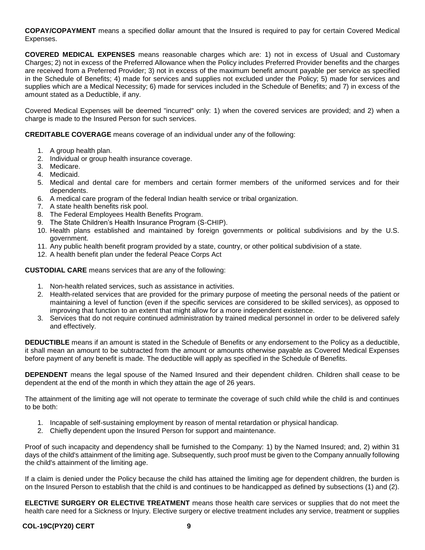**COPAY/COPAYMENT** means a specified dollar amount that the Insured is required to pay for certain Covered Medical Expenses.

**COVERED MEDICAL EXPENSES** means reasonable charges which are: 1) not in excess of Usual and Customary Charges; 2) not in excess of the Preferred Allowance when the Policy includes Preferred Provider benefits and the charges are received from a Preferred Provider; 3) not in excess of the maximum benefit amount payable per service as specified in the Schedule of Benefits; 4) made for services and supplies not excluded under the Policy; 5) made for services and supplies which are a Medical Necessity; 6) made for services included in the Schedule of Benefits; and 7) in excess of the amount stated as a Deductible, if any.

Covered Medical Expenses will be deemed "incurred" only: 1) when the covered services are provided; and 2) when a charge is made to the Insured Person for such services.

**CREDITABLE COVERAGE** means coverage of an individual under any of the following:

- 1. A group health plan.
- 2. Individual or group health insurance coverage.
- 3. Medicare.
- 4. Medicaid.
- 5. Medical and dental care for members and certain former members of the uniformed services and for their dependents.
- 6. A medical care program of the federal Indian health service or tribal organization.
- 7. A state health benefits risk pool.
- 8. The Federal Employees Health Benefits Program.
- 9. The State Children's Health Insurance Program (S-CHIP).
- 10. Health plans established and maintained by foreign governments or political subdivisions and by the U.S. government.
- 11. Any public health benefit program provided by a state, country, or other political subdivision of a state.
- 12. A health benefit plan under the federal Peace Corps Act

**CUSTODIAL CARE** means services that are any of the following:

- 1. Non-health related services, such as assistance in activities.
- 2. Health-related services that are provided for the primary purpose of meeting the personal needs of the patient or maintaining a level of function (even if the specific services are considered to be skilled services), as opposed to improving that function to an extent that might allow for a more independent existence.
- 3. Services that do not require continued administration by trained medical personnel in order to be delivered safely and effectively.

**DEDUCTIBLE** means if an amount is stated in the Schedule of Benefits or any endorsement to the Policy as a deductible, it shall mean an amount to be subtracted from the amount or amounts otherwise payable as Covered Medical Expenses before payment of any benefit is made. The deductible will apply as specified in the Schedule of Benefits.

**DEPENDENT** means the legal spouse of the Named Insured and their dependent children. Children shall cease to be dependent at the end of the month in which they attain the age of 26 years.

The attainment of the limiting age will not operate to terminate the coverage of such child while the child is and continues to be both:

- 1. Incapable of self-sustaining employment by reason of mental retardation or physical handicap.
- 2. Chiefly dependent upon the Insured Person for support and maintenance.

Proof of such incapacity and dependency shall be furnished to the Company: 1) by the Named Insured; and, 2) within 31 days of the child's attainment of the limiting age. Subsequently, such proof must be given to the Company annually following the child's attainment of the limiting age.

If a claim is denied under the Policy because the child has attained the limiting age for dependent children, the burden is on the Insured Person to establish that the child is and continues to be handicapped as defined by subsections (1) and (2).

**ELECTIVE SURGERY OR ELECTIVE TREATMENT** means those health care services or supplies that do not meet the health care need for a Sickness or Injury. Elective surgery or elective treatment includes any service, treatment or supplies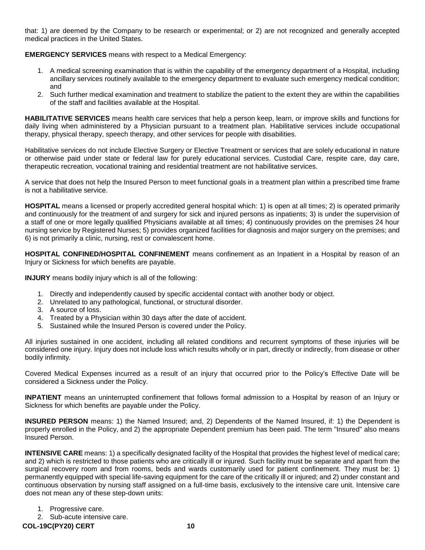that: 1) are deemed by the Company to be research or experimental; or 2) are not recognized and generally accepted medical practices in the United States.

#### **EMERGENCY SERVICES** means with respect to a Medical Emergency:

- 1. A medical screening examination that is within the capability of the emergency department of a Hospital, including ancillary services routinely available to the emergency department to evaluate such emergency medical condition; and
- 2. Such further medical examination and treatment to stabilize the patient to the extent they are within the capabilities of the staff and facilities available at the Hospital.

**HABILITATIVE SERVICES** means health care services that help a person keep, learn, or improve skills and functions for daily living when administered by a Physician pursuant to a treatment plan. Habilitative services include occupational therapy, physical therapy, speech therapy, and other services for people with disabilities.

Habilitative services do not include Elective Surgery or Elective Treatment or services that are solely educational in nature or otherwise paid under state or federal law for purely educational services. Custodial Care, respite care, day care, therapeutic recreation, vocational training and residential treatment are not habilitative services.

A service that does not help the Insured Person to meet functional goals in a treatment plan within a prescribed time frame is not a habilitative service.

**HOSPITAL** means a licensed or properly accredited general hospital which: 1) is open at all times; 2) is operated primarily and continuously for the treatment of and surgery for sick and injured persons as inpatients; 3) is under the supervision of a staff of one or more legally qualified Physicians available at all times; 4) continuously provides on the premises 24 hour nursing service by Registered Nurses; 5) provides organized facilities for diagnosis and major surgery on the premises; and 6) is not primarily a clinic, nursing, rest or convalescent home.

**HOSPITAL CONFINED/HOSPITAL CONFINEMENT** means confinement as an Inpatient in a Hospital by reason of an Injury or Sickness for which benefits are payable.

**INJURY** means bodily injury which is all of the following:

- 1. Directly and independently caused by specific accidental contact with another body or object.
- 2. Unrelated to any pathological, functional, or structural disorder.
- 3. A source of loss.
- 4. Treated by a Physician within 30 days after the date of accident.
- 5. Sustained while the Insured Person is covered under the Policy.

All injuries sustained in one accident, including all related conditions and recurrent symptoms of these injuries will be considered one injury. Injury does not include loss which results wholly or in part, directly or indirectly, from disease or other bodily infirmity.

Covered Medical Expenses incurred as a result of an injury that occurred prior to the Policy's Effective Date will be considered a Sickness under the Policy.

**INPATIENT** means an uninterrupted confinement that follows formal admission to a Hospital by reason of an Injury or Sickness for which benefits are payable under the Policy.

**INSURED PERSON** means: 1) the Named Insured; and, 2) Dependents of the Named Insured, if: 1) the Dependent is properly enrolled in the Policy, and 2) the appropriate Dependent premium has been paid. The term "Insured" also means Insured Person.

**INTENSIVE CARE** means: 1) a specifically designated facility of the Hospital that provides the highest level of medical care; and 2) which is restricted to those patients who are critically ill or injured. Such facility must be separate and apart from the surgical recovery room and from rooms, beds and wards customarily used for patient confinement. They must be: 1) permanently equipped with special life-saving equipment for the care of the critically ill or injured; and 2) under constant and continuous observation by nursing staff assigned on a full-time basis, exclusively to the intensive care unit. Intensive care does not mean any of these step-down units:

- 1. Progressive care.
- 2. Sub-acute intensive care.

**COL-19C(PY20) CERT 10**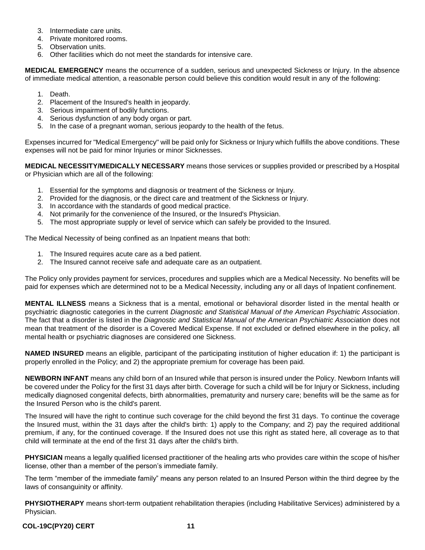- 3. Intermediate care units.
- 4. Private monitored rooms.
- 5. Observation units.
- 6. Other facilities which do not meet the standards for intensive care.

**MEDICAL EMERGENCY** means the occurrence of a sudden, serious and unexpected Sickness or Injury. In the absence of immediate medical attention, a reasonable person could believe this condition would result in any of the following:

- 1. Death.
- 2. Placement of the Insured's health in jeopardy.
- 3. Serious impairment of bodily functions.
- 4. Serious dysfunction of any body organ or part.
- 5. In the case of a pregnant woman, serious jeopardy to the health of the fetus.

Expenses incurred for "Medical Emergency" will be paid only for Sickness or Injury which fulfills the above conditions. These expenses will not be paid for minor Injuries or minor Sicknesses.

**MEDICAL NECESSITY/MEDICALLY NECESSARY** means those services or supplies provided or prescribed by a Hospital or Physician which are all of the following:

- 1. Essential for the symptoms and diagnosis or treatment of the Sickness or Injury.
- 2. Provided for the diagnosis, or the direct care and treatment of the Sickness or Injury.
- 3. In accordance with the standards of good medical practice.
- 4. Not primarily for the convenience of the Insured, or the Insured's Physician.
- 5. The most appropriate supply or level of service which can safely be provided to the Insured.

The Medical Necessity of being confined as an Inpatient means that both:

- 1. The Insured requires acute care as a bed patient.
- 2. The Insured cannot receive safe and adequate care as an outpatient.

The Policy only provides payment for services, procedures and supplies which are a Medical Necessity. No benefits will be paid for expenses which are determined not to be a Medical Necessity, including any or all days of Inpatient confinement.

**MENTAL ILLNESS** means a Sickness that is a mental, emotional or behavioral disorder listed in the mental health or psychiatric diagnostic categories in the current *Diagnostic and Statistical Manual of the American Psychiatric Association*. The fact that a disorder is listed in the *Diagnostic and Statistical Manual of the American Psychiatric Association* does not mean that treatment of the disorder is a Covered Medical Expense. If not excluded or defined elsewhere in the policy, all mental health or psychiatric diagnoses are considered one Sickness.

**NAMED INSURED** means an eligible, participant of the participating institution of higher education if: 1) the participant is properly enrolled in the Policy; and 2) the appropriate premium for coverage has been paid.

**NEWBORN INFANT** means any child born of an Insured while that person is insured under the Policy. Newborn Infants will be covered under the Policy for the first 31 days after birth. Coverage for such a child will be for Injury or Sickness, including medically diagnosed congenital defects, birth abnormalities, prematurity and nursery care; benefits will be the same as for the Insured Person who is the child's parent.

The Insured will have the right to continue such coverage for the child beyond the first 31 days. To continue the coverage the Insured must, within the 31 days after the child's birth: 1) apply to the Company; and 2) pay the required additional premium, if any, for the continued coverage. If the Insured does not use this right as stated here, all coverage as to that child will terminate at the end of the first 31 days after the child's birth.

**PHYSICIAN** means a legally qualified licensed practitioner of the healing arts who provides care within the scope of his/her license, other than a member of the person's immediate family.

The term "member of the immediate family" means any person related to an Insured Person within the third degree by the laws of consanguinity or affinity.

**PHYSIOTHERAPY** means short-term outpatient rehabilitation therapies (including Habilitative Services) administered by a Physician.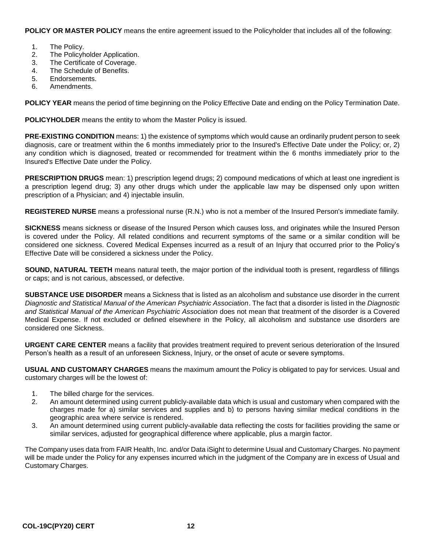**POLICY OR MASTER POLICY** means the entire agreement issued to the Policyholder that includes all of the following:

- 1. The Policy.
- 2. The Policyholder Application.
- 3. The Certificate of Coverage.
- 4. The Schedule of Benefits.
- 5. Endorsements.
- 6. Amendments.

**POLICY YEAR** means the period of time beginning on the Policy Effective Date and ending on the Policy Termination Date.

**POLICYHOLDER** means the entity to whom the Master Policy is issued.

**PRE-EXISTING CONDITION** means: 1) the existence of symptoms which would cause an ordinarily prudent person to seek diagnosis, care or treatment within the 6 months immediately prior to the Insured's Effective Date under the Policy; or, 2) any condition which is diagnosed, treated or recommended for treatment within the 6 months immediately prior to the Insured's Effective Date under the Policy.

**PRESCRIPTION DRUGS** mean: 1) prescription legend drugs; 2) compound medications of which at least one ingredient is a prescription legend drug; 3) any other drugs which under the applicable law may be dispensed only upon written prescription of a Physician; and 4) injectable insulin.

**REGISTERED NURSE** means a professional nurse (R.N.) who is not a member of the Insured Person's immediate family.

**SICKNESS** means sickness or disease of the Insured Person which causes loss, and originates while the Insured Person is covered under the Policy. All related conditions and recurrent symptoms of the same or a similar condition will be considered one sickness. Covered Medical Expenses incurred as a result of an Injury that occurred prior to the Policy's Effective Date will be considered a sickness under the Policy.

**SOUND, NATURAL TEETH** means natural teeth, the major portion of the individual tooth is present, regardless of fillings or caps; and is not carious, abscessed, or defective.

**SUBSTANCE USE DISORDER** means a Sickness that is listed as an alcoholism and substance use disorder in the current *Diagnostic and Statistical Manual of the American Psychiatric Association*. The fact that a disorder is listed in the *Diagnostic and Statistical Manual of the American Psychiatric Association* does not mean that treatment of the disorder is a Covered Medical Expense. If not excluded or defined elsewhere in the Policy, all alcoholism and substance use disorders are considered one Sickness.

**URGENT CARE CENTER** means a facility that provides treatment required to prevent serious deterioration of the Insured Person's health as a result of an unforeseen Sickness, Injury, or the onset of acute or severe symptoms.

**USUAL AND CUSTOMARY CHARGES** means the maximum amount the Policy is obligated to pay for services. Usual and customary charges will be the lowest of:

- 1. The billed charge for the services.
- 2. An amount determined using current publicly-available data which is usual and customary when compared with the charges made for a) similar services and supplies and b) to persons having similar medical conditions in the geographic area where service is rendered.
- 3. An amount determined using current publicly-available data reflecting the costs for facilities providing the same or similar services, adjusted for geographical difference where applicable, plus a margin factor.

The Company uses data from FAIR Health, Inc. and/or Data iSight to determine Usual and Customary Charges. No payment will be made under the Policy for any expenses incurred which in the judgment of the Company are in excess of Usual and Customary Charges.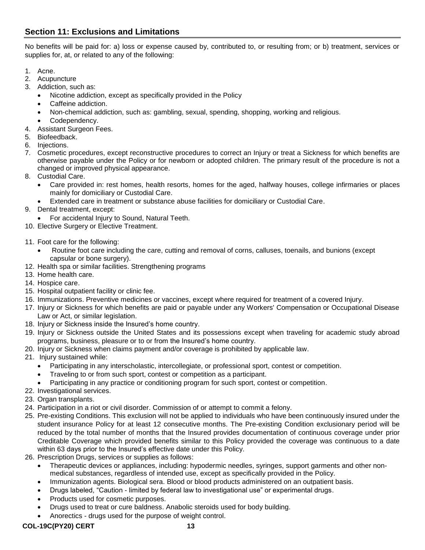## <span id="page-15-0"></span>**Section 11: Exclusions and Limitations**

No benefits will be paid for: a) loss or expense caused by, contributed to, or resulting from; or b) treatment, services or supplies for, at, or related to any of the following:

- 1. Acne.
- 2. Acupuncture
- 3. Addiction, such as:
	- Nicotine addiction, except as specifically provided in the Policy
	- Caffeine addiction.
	- Non-chemical addiction, such as: gambling, sexual, spending, shopping, working and religious.
	- Codependency.
- 4. Assistant Surgeon Fees.
- 5. Biofeedback.
- 6. Injections.
- 7. Cosmetic procedures, except reconstructive procedures to correct an Injury or treat a Sickness for which benefits are otherwise payable under the Policy or for newborn or adopted children. The primary result of the procedure is not a changed or improved physical appearance.
- 8. Custodial Care.
	- Care provided in: rest homes, health resorts, homes for the aged, halfway houses, college infirmaries or places mainly for domiciliary or Custodial Care.
	- Extended care in treatment or substance abuse facilities for domiciliary or Custodial Care.
- 9. Dental treatment, except:
	- For accidental Injury to Sound, Natural Teeth.
- 10. Elective Surgery or Elective Treatment.
- 11. Foot care for the following:
	- Routine foot care including the care, cutting and removal of corns, calluses, toenails, and bunions (except capsular or bone surgery).
- 12. Health spa or similar facilities. Strengthening programs
- 13. Home health care.
- 14. Hospice care.
- 15. Hospital outpatient facility or clinic fee.
- 16. Immunizations. Preventive medicines or vaccines, except where required for treatment of a covered Injury.
- 17. Injury or Sickness for which benefits are paid or payable under any Workers' Compensation or Occupational Disease Law or Act, or similar legislation.
- 18. Injury or Sickness inside the Insured's home country.
- 19. Injury or Sickness outside the United States and its possessions except when traveling for academic study abroad programs, business, pleasure or to or from the Insured's home country.
- 20. Injury or Sickness when claims payment and/or coverage is prohibited by applicable law.
- 21. Injury sustained while:
	- Participating in any interscholastic, intercollegiate, or professional sport, contest or competition.
	- Traveling to or from such sport, contest or competition as a participant.
	- Participating in any practice or conditioning program for such sport, contest or competition.
- 22. Investigational services.
- 23. Organ transplants.
- 24. Participation in a riot or civil disorder. Commission of or attempt to commit a felony.
- 25. Pre-existing Conditions. This exclusion will not be applied to individuals who have been continuously insured under the student insurance Policy for at least 12 consecutive months. The Pre-existing Condition exclusionary period will be reduced by the total number of months that the Insured provides documentation of continuous coverage under prior Creditable Coverage which provided benefits similar to this Policy provided the coverage was continuous to a date within 63 days prior to the Insured's effective date under this Policy.
- 26. Prescription Drugs, services or supplies as follows:
	- Therapeutic devices or appliances, including: hypodermic needles, syringes, support garments and other nonmedical substances, regardless of intended use, except as specifically provided in the Policy.
	- Immunization agents. Biological sera. Blood or blood products administered on an outpatient basis.
	- Drugs labeled, "Caution limited by federal law to investigational use" or experimental drugs.
	- Products used for cosmetic purposes.
	- Drugs used to treat or cure baldness. Anabolic steroids used for body building.
	- Anorectics drugs used for the purpose of weight control.

#### **COL-19C(PY20) CERT 13**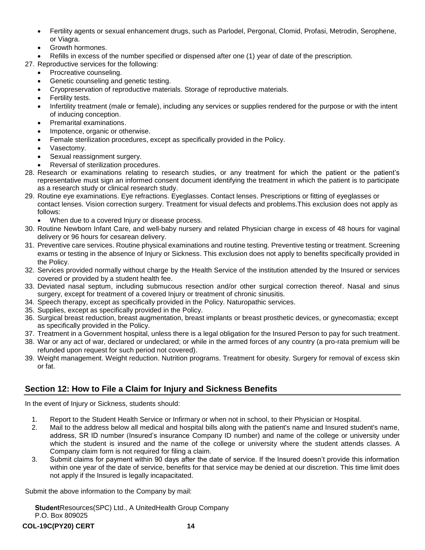- Fertility agents or sexual enhancement drugs, such as Parlodel, Pergonal, Clomid, Profasi, Metrodin, Serophene, or Viagra.
- Growth hormones.
- Refills in excess of the number specified or dispensed after one (1) year of date of the prescription.
- 27. Reproductive services for the following:
	- Procreative counseling.
	- Genetic counseling and genetic testing.
	- Cryopreservation of reproductive materials. Storage of reproductive materials.
	- Fertility tests.
	- Infertility treatment (male or female), including any services or supplies rendered for the purpose or with the intent of inducing conception.
	- Premarital examinations.
	- Impotence, organic or otherwise.
	- Female sterilization procedures, except as specifically provided in the Policy.
	- Vasectomy.
	- Sexual reassignment surgery.
	- Reversal of sterilization procedures.
- 28. Research or examinations relating to research studies, or any treatment for which the patient or the patient's representative must sign an informed consent document identifying the treatment in which the patient is to participate as a research study or clinical research study.
- 29. Routine eye examinations. Eye refractions. Eyeglasses. Contact lenses. Prescriptions or fitting of eyeglasses or contact lenses. Vision correction surgery. Treatment for visual defects and problems.This exclusion does not apply as follows:
	- When due to a covered Injury or disease process.
- 30. Routine Newborn Infant Care, and well-baby nursery and related Physician charge in excess of 48 hours for vaginal delivery or 96 hours for cesarean delivery.
- 31. Preventive care services. Routine physical examinations and routine testing. Preventive testing or treatment. Screening exams or testing in the absence of Injury or Sickness. This exclusion does not apply to benefits specifically provided in the Policy.
- 32. Services provided normally without charge by the Health Service of the institution attended by the Insured or services covered or provided by a student health fee.
- 33. Deviated nasal septum, including submucous resection and/or other surgical correction thereof. Nasal and sinus surgery, except for treatment of a covered Injury or treatment of chronic sinusitis.
- 34. Speech therapy, except as specifically provided in the Policy. Naturopathic services.
- 35. Supplies, except as specifically provided in the Policy.
- 36. Surgical breast reduction, breast augmentation, breast implants or breast prosthetic devices, or gynecomastia; except as specifically provided in the Policy.
- 37. Treatment in a Government hospital, unless there is a legal obligation for the Insured Person to pay for such treatment.
- 38. War or any act of war, declared or undeclared; or while in the armed forces of any country (a pro-rata premium will be refunded upon request for such period not covered).
- 39. Weight management. Weight reduction. Nutrition programs. Treatment for obesity. Surgery for removal of excess skin or fat.

## <span id="page-16-0"></span>**Section 12: How to File a Claim for Injury and Sickness Benefits**

In the event of Injury or Sickness, students should:

- 1. Report to the Student Health Service or Infirmary or when not in school, to their Physician or Hospital.
- 2. Mail to the address below all medical and hospital bills along with the patient's name and Insured student's name, address, SR ID number (Insured's insurance Company ID number) and name of the college or university under which the student is insured and the name of the college or university where the student attends classes. A Company claim form is not required for filing a claim.
- 3. Submit claims for payment within 90 days after the date of service. If the Insured doesn't provide this information within one year of the date of service, benefits for that service may be denied at our discretion. This time limit does not apply if the Insured is legally incapacitated.

Submit the above information to the Company by mail:

StudentResources(SPC) Ltd., A UnitedHealth Group Company P.O. Box 809025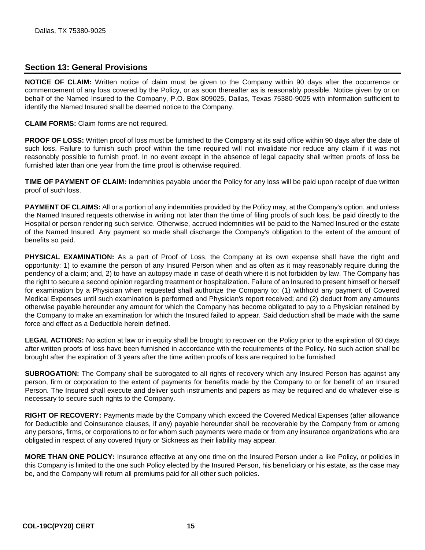#### <span id="page-17-0"></span>**Section 13: General Provisions**

**NOTICE OF CLAIM:** Written notice of claim must be given to the Company within 90 days after the occurrence or commencement of any loss covered by the Policy, or as soon thereafter as is reasonably possible. Notice given by or on behalf of the Named Insured to the Company, P.O. Box 809025, Dallas, Texas 75380-9025 with information sufficient to identify the Named Insured shall be deemed notice to the Company.

**CLAIM FORMS:** Claim forms are not required.

**PROOF OF LOSS:** Written proof of loss must be furnished to the Company at its said office within 90 days after the date of such loss. Failure to furnish such proof within the time required will not invalidate nor reduce any claim if it was not reasonably possible to furnish proof. In no event except in the absence of legal capacity shall written proofs of loss be furnished later than one year from the time proof is otherwise required.

**TIME OF PAYMENT OF CLAIM:** Indemnities payable under the Policy for any loss will be paid upon receipt of due written proof of such loss.

**PAYMENT OF CLAIMS:** All or a portion of any indemnities provided by the Policy may, at the Company's option, and unless the Named Insured requests otherwise in writing not later than the time of filing proofs of such loss, be paid directly to the Hospital or person rendering such service. Otherwise, accrued indemnities will be paid to the Named Insured or the estate of the Named Insured. Any payment so made shall discharge the Company's obligation to the extent of the amount of benefits so paid.

**PHYSICAL EXAMINATION:** As a part of Proof of Loss, the Company at its own expense shall have the right and opportunity: 1) to examine the person of any Insured Person when and as often as it may reasonably require during the pendency of a claim; and, 2) to have an autopsy made in case of death where it is not forbidden by law. The Company has the right to secure a second opinion regarding treatment or hospitalization. Failure of an Insured to present himself or herself for examination by a Physician when requested shall authorize the Company to: (1) withhold any payment of Covered Medical Expenses until such examination is performed and Physician's report received; and (2) deduct from any amounts otherwise payable hereunder any amount for which the Company has become obligated to pay to a Physician retained by the Company to make an examination for which the Insured failed to appear. Said deduction shall be made with the same force and effect as a Deductible herein defined.

**LEGAL ACTIONS:** No action at law or in equity shall be brought to recover on the Policy prior to the expiration of 60 days after written proofs of loss have been furnished in accordance with the requirements of the Policy. No such action shall be brought after the expiration of 3 years after the time written proofs of loss are required to be furnished.

**SUBROGATION:** The Company shall be subrogated to all rights of recovery which any Insured Person has against any person, firm or corporation to the extent of payments for benefits made by the Company to or for benefit of an Insured Person. The Insured shall execute and deliver such instruments and papers as may be required and do whatever else is necessary to secure such rights to the Company.

**RIGHT OF RECOVERY:** Payments made by the Company which exceed the Covered Medical Expenses (after allowance for Deductible and Coinsurance clauses, if any) payable hereunder shall be recoverable by the Company from or among any persons, firms, or corporations to or for whom such payments were made or from any insurance organizations who are obligated in respect of any covered Injury or Sickness as their liability may appear.

**MORE THAN ONE POLICY:** Insurance effective at any one time on the Insured Person under a like Policy, or policies in this Company is limited to the one such Policy elected by the Insured Person, his beneficiary or his estate, as the case may be, and the Company will return all premiums paid for all other such policies.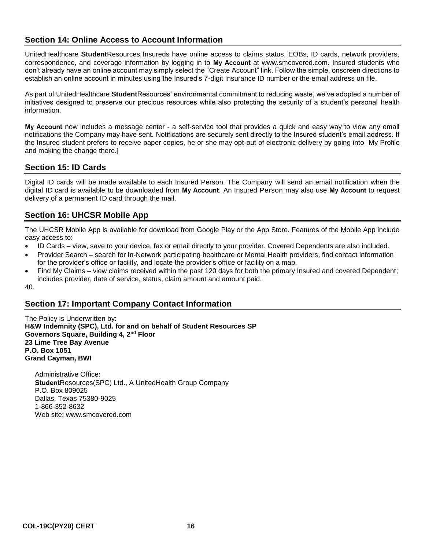## <span id="page-18-0"></span>**Section 14: Online Access to Account Information**

UnitedHealthcare **Student**Resources Insureds have online access to claims status, EOBs, ID cards, network providers, correspondence, and coverage information by logging in to My Account at www.smcovered.com. Insured students who don't already have an online account may simply select the "Create Account" link. Follow the simple, onscreen directions to establish an online account in minutes using the Insured's 7-digit Insurance ID number or the email address on file.

As part of UnitedHealthcare **Student**Resources' environmental commitment to reducing waste, we've adopted a number of initiatives designed to preserve our precious resources while also protecting the security of a student's personal health information.

My Account now includes a message center - a self-service tool that provides a quick and easy way to view any email notifications the Company may have sent. Notifications are securely sent directly to the Insured student's email address. If the Insured student prefers to receive paper copies, he or she may opt-out of electronic delivery by going into My Profile and making the change there.]

#### <span id="page-18-1"></span>**Section 15: ID Cards**

Digital ID cards will be made available to each Insured Person. The Company will send an email notification when the digital ID card is available to be downloaded from My Account. An Insured Person may also use My Account to request delivery of a permanent ID card through the mail.

#### <span id="page-18-2"></span>**Section 16: UHCSR Mobile App**

The UHCSR Mobile App is available for download from Google Play or the App Store. Features of the Mobile App include easy access to:

- ID Cards view, save to your device, fax or email directly to your provider. Covered Dependents are also included.
- Provider Search search for In-Network participating healthcare or Mental Health providers, find contact information for the provider's office or facility, and locate the provider's office or facility on a map.
- Find My Claims view claims received within the past 120 days for both the primary Insured and covered Dependent; includes provider, date of service, status, claim amount and amount paid.

40.

## <span id="page-18-3"></span>**Section 17: Important Company Contact Information**

The Policy is Underwritten by: **H&W Indemnity (SPC), Ltd. for and on behalf of Student Resources SP Governors Square, Building 4, 2nd Floor 23 Lime Tree Bay Avenue P.O. Box 1051 Grand Cayman, BWI**

Administrative Office: StudentResources(SPC) Ltd., A UnitedHealth Group Company P.O. Box 809025 Dallas, Texas 75380-9025 1-866-352-8632 Web site: www.smcovered.com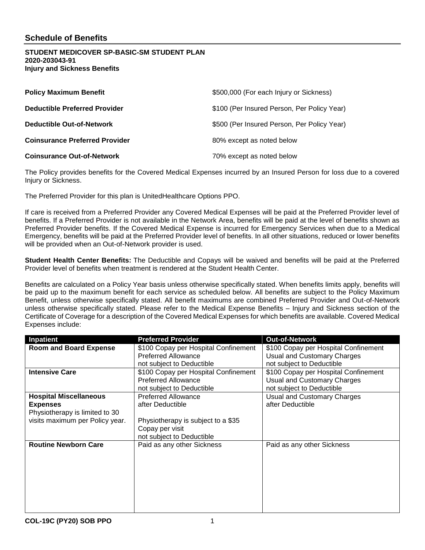#### **STUDENT MEDICOVER SP-BASIC-SM STUDENT PLAN 2020-203043-91 Injury and Sickness Benefits**

| <b>Policy Maximum Benefit</b>         | \$500,000 (For each Injury or Sickness)     |
|---------------------------------------|---------------------------------------------|
| <b>Deductible Preferred Provider</b>  | \$100 (Per Insured Person, Per Policy Year) |
| <b>Deductible Out-of-Network</b>      | \$500 (Per Insured Person, Per Policy Year) |
| <b>Coinsurance Preferred Provider</b> | 80% except as noted below                   |
| <b>Coinsurance Out-of-Network</b>     | 70% except as noted below                   |

The Policy provides benefits for the Covered Medical Expenses incurred by an Insured Person for loss due to a covered Injury or Sickness.

The Preferred Provider for this plan is UnitedHealthcare Options PPO.

If care is received from a Preferred Provider any Covered Medical Expenses will be paid at the Preferred Provider level of benefits. If a Preferred Provider is not available in the Network Area, benefits will be paid at the level of benefits shown as Preferred Provider benefits. If the Covered Medical Expense is incurred for Emergency Services when due to a Medical Emergency, benefits will be paid at the Preferred Provider level of benefits. In all other situations, reduced or lower benefits will be provided when an Out-of-Network provider is used.

**Student Health Center Benefits**: The Deductible and Copays will be waived and benefits will be paid at the Preferred Provider level of benefits when treatment is rendered at the Student Health Center.

Benefits are calculated on a Policy Year basis unless otherwise specifically stated. When benefits limits apply, benefits will be paid up to the maximum benefit for each service as scheduled below. All benefits are subject to the Policy Maximum Benefit, unless otherwise specifically stated. All benefit maximums are combined Preferred Provider and Out-of-Network unless otherwise specifically stated. Please refer to the Medical Expense Benefits – Injury and Sickness section of the Certificate of Coverage for a description of the Covered Medical Expenses for which benefits are available. Covered Medical Expenses include:

| Inpatient                       | <b>Preferred Provider</b>            | <b>Out-of-Network</b>                |
|---------------------------------|--------------------------------------|--------------------------------------|
| <b>Room and Board Expense</b>   | \$100 Copay per Hospital Confinement | \$100 Copay per Hospital Confinement |
|                                 | <b>Preferred Allowance</b>           | <b>Usual and Customary Charges</b>   |
|                                 | not subject to Deductible            | not subject to Deductible            |
| <b>Intensive Care</b>           | \$100 Copay per Hospital Confinement | \$100 Copay per Hospital Confinement |
|                                 | Preferred Allowance                  | <b>Usual and Customary Charges</b>   |
|                                 | not subject to Deductible            | not subject to Deductible            |
| <b>Hospital Miscellaneous</b>   | <b>Preferred Allowance</b>           | Usual and Customary Charges          |
| <b>Expenses</b>                 | after Deductible                     | after Deductible                     |
| Physiotherapy is limited to 30  |                                      |                                      |
| visits maximum per Policy year. | Physiotherapy is subject to a \$35   |                                      |
|                                 | Copay per visit                      |                                      |
|                                 | not subject to Deductible            |                                      |
| <b>Routine Newborn Care</b>     | Paid as any other Sickness           | Paid as any other Sickness           |
|                                 |                                      |                                      |
|                                 |                                      |                                      |
|                                 |                                      |                                      |
|                                 |                                      |                                      |
|                                 |                                      |                                      |
|                                 |                                      |                                      |
|                                 |                                      |                                      |
|                                 |                                      |                                      |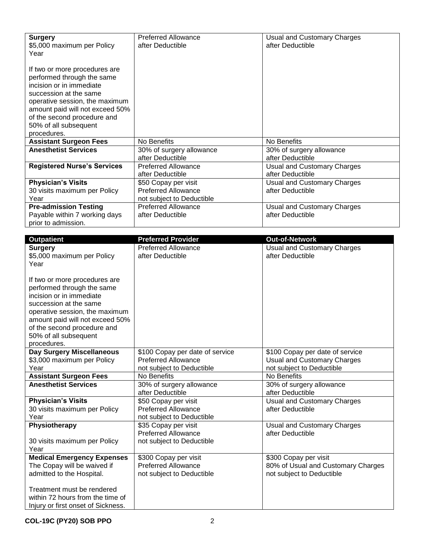| <b>Surgery</b><br>\$5,000 maximum per Policy<br>Year                                                                                                                                                                                                          | <b>Preferred Allowance</b><br>after Deductible     | Usual and Customary Charges<br>after Deductible |
|---------------------------------------------------------------------------------------------------------------------------------------------------------------------------------------------------------------------------------------------------------------|----------------------------------------------------|-------------------------------------------------|
| If two or more procedures are<br>performed through the same<br>incision or in immediate<br>succession at the same<br>operative session, the maximum                                                                                                           |                                                    |                                                 |
| amount paid will not exceed 50%<br>of the second procedure and                                                                                                                                                                                                |                                                    |                                                 |
| 50% of all subsequent<br>procedures.                                                                                                                                                                                                                          |                                                    |                                                 |
| <b>Assistant Surgeon Fees</b>                                                                                                                                                                                                                                 | No Benefits                                        | No Benefits                                     |
| <b>Anesthetist Services</b>                                                                                                                                                                                                                                   | 30% of surgery allowance<br>after Deductible       | 30% of surgery allowance<br>after Deductible    |
| <b>Registered Nurse's Services</b>                                                                                                                                                                                                                            | <b>Preferred Allowance</b>                         | <b>Usual and Customary Charges</b>              |
|                                                                                                                                                                                                                                                               | after Deductible                                   | after Deductible                                |
| <b>Physician's Visits</b>                                                                                                                                                                                                                                     | \$50 Copay per visit                               | <b>Usual and Customary Charges</b>              |
| 30 visits maximum per Policy                                                                                                                                                                                                                                  | <b>Preferred Allowance</b>                         | after Deductible                                |
| Year                                                                                                                                                                                                                                                          | not subject to Deductible                          |                                                 |
| <b>Pre-admission Testing</b>                                                                                                                                                                                                                                  | <b>Preferred Allowance</b>                         | <b>Usual and Customary Charges</b>              |
| Payable within 7 working days<br>prior to admission.                                                                                                                                                                                                          | after Deductible                                   | after Deductible                                |
|                                                                                                                                                                                                                                                               |                                                    |                                                 |
| <b>Outpatient</b>                                                                                                                                                                                                                                             | <b>Preferred Provider</b>                          | <b>Out-of-Network</b>                           |
| <b>Surgery</b>                                                                                                                                                                                                                                                | <b>Preferred Allowance</b>                         | <b>Usual and Customary Charges</b>              |
| \$5,000 maximum per Policy                                                                                                                                                                                                                                    | after Deductible                                   | after Deductible                                |
| Year                                                                                                                                                                                                                                                          |                                                    |                                                 |
| If two or more procedures are<br>performed through the same<br>incision or in immediate<br>succession at the same<br>operative session, the maximum<br>amount paid will not exceed 50%<br>of the second procedure and<br>50% of all subsequent<br>procedures. |                                                    |                                                 |
| Day Surgery Miscellaneous                                                                                                                                                                                                                                     | \$100 Copay per date of service                    | \$100 Copay per date of service                 |
| \$3,000 maximum per Policy                                                                                                                                                                                                                                    | <b>Preferred Allowance</b>                         | <b>Usual and Customary Charges</b>              |
| Year                                                                                                                                                                                                                                                          | not subject to Deductible<br>No Benefits           | not subject to Deductible<br>No Benefits        |
| <b>Assistant Surgeon Fees</b><br><b>Anesthetist Services</b>                                                                                                                                                                                                  | 30% of surgery allowance                           | 30% of surgery allowance                        |
|                                                                                                                                                                                                                                                               | after Deductible                                   | after Deductible                                |
| <b>Physician's Visits</b>                                                                                                                                                                                                                                     | \$50 Copay per visit<br><b>Preferred Allowance</b> | <b>Usual and Customary Charges</b>              |
| 30 visits maximum per Policy<br>Year                                                                                                                                                                                                                          | not subject to Deductible                          | after Deductible                                |
| Physiotherapy                                                                                                                                                                                                                                                 | \$35 Copay per visit                               | <b>Usual and Customary Charges</b>              |
|                                                                                                                                                                                                                                                               | <b>Preferred Allowance</b>                         | after Deductible                                |
| 30 visits maximum per Policy<br>Year                                                                                                                                                                                                                          | not subject to Deductible                          |                                                 |
| <b>Medical Emergency Expenses</b>                                                                                                                                                                                                                             | \$300 Copay per visit                              | \$300 Copay per visit                           |
| The Copay will be waived if                                                                                                                                                                                                                                   | <b>Preferred Allowance</b>                         | 80% of Usual and Customary Charges              |
| admitted to the Hospital.                                                                                                                                                                                                                                     | not subject to Deductible                          | not subject to Deductible                       |
| Treatment must be rendered<br>within 72 hours from the time of<br>Injury or first onset of Sickness.                                                                                                                                                          |                                                    |                                                 |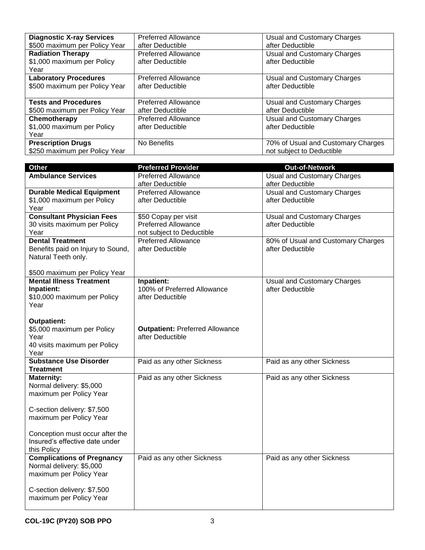| <b>Diagnostic X-ray Services</b>                               | <b>Preferred Allowance</b>                     | Usual and Customary Charges                                     |
|----------------------------------------------------------------|------------------------------------------------|-----------------------------------------------------------------|
| \$500 maximum per Policy Year                                  | after Deductible                               | after Deductible                                                |
| <b>Radiation Therapy</b><br>\$1,000 maximum per Policy<br>Year | <b>Preferred Allowance</b><br>after Deductible | Usual and Customary Charges<br>after Deductible                 |
| <b>Laboratory Procedures</b>                                   | <b>Preferred Allowance</b>                     | Usual and Customary Charges                                     |
| \$500 maximum per Policy Year                                  | after Deductible                               | after Deductible                                                |
| <b>Tests and Procedures</b>                                    | <b>Preferred Allowance</b>                     | Usual and Customary Charges                                     |
| \$500 maximum per Policy Year                                  | after Deductible                               | after Deductible                                                |
| Chemotherapy<br>\$1,000 maximum per Policy<br>Year             | <b>Preferred Allowance</b><br>after Deductible | Usual and Customary Charges<br>after Deductible                 |
| <b>Prescription Drugs</b><br>\$250 maximum per Policy Year     | No Benefits                                    | 70% of Usual and Customary Charges<br>not subject to Deductible |

| Other                             | <b>Preferred Provider</b>              | <b>Out-of-Network</b>              |
|-----------------------------------|----------------------------------------|------------------------------------|
| <b>Ambulance Services</b>         | <b>Preferred Allowance</b>             | <b>Usual and Customary Charges</b> |
|                                   | after Deductible                       | after Deductible                   |
| <b>Durable Medical Equipment</b>  | <b>Preferred Allowance</b>             | <b>Usual and Customary Charges</b> |
| \$1,000 maximum per Policy        | after Deductible                       | after Deductible                   |
| Year                              |                                        |                                    |
| <b>Consultant Physician Fees</b>  | \$50 Copay per visit                   | <b>Usual and Customary Charges</b> |
| 30 visits maximum per Policy      | <b>Preferred Allowance</b>             | after Deductible                   |
| Year                              | not subject to Deductible              |                                    |
| <b>Dental Treatment</b>           | <b>Preferred Allowance</b>             | 80% of Usual and Customary Charges |
| Benefits paid on Injury to Sound, | after Deductible                       | after Deductible                   |
| Natural Teeth only.               |                                        |                                    |
|                                   |                                        |                                    |
| \$500 maximum per Policy Year     |                                        |                                    |
| <b>Mental Illness Treatment</b>   | Inpatient:                             |                                    |
|                                   |                                        | <b>Usual and Customary Charges</b> |
| Inpatient:                        | 100% of Preferred Allowance            | after Deductible                   |
| \$10,000 maximum per Policy       | after Deductible                       |                                    |
| Year                              |                                        |                                    |
|                                   |                                        |                                    |
| <b>Outpatient:</b>                |                                        |                                    |
| \$5,000 maximum per Policy        | <b>Outpatient: Preferred Allowance</b> |                                    |
| Year                              | after Deductible                       |                                    |
| 40 visits maximum per Policy      |                                        |                                    |
| Year                              |                                        |                                    |
| <b>Substance Use Disorder</b>     | Paid as any other Sickness             | Paid as any other Sickness         |
| Treatment                         |                                        |                                    |
| <b>Maternity:</b>                 | Paid as any other Sickness             | Paid as any other Sickness         |
| Normal delivery: \$5,000          |                                        |                                    |
| maximum per Policy Year           |                                        |                                    |
|                                   |                                        |                                    |
| C-section delivery: \$7,500       |                                        |                                    |
| maximum per Policy Year           |                                        |                                    |
|                                   |                                        |                                    |
| Conception must occur after the   |                                        |                                    |
| Insured's effective date under    |                                        |                                    |
| this Policy                       |                                        |                                    |
| <b>Complications of Pregnancy</b> |                                        |                                    |
|                                   | Paid as any other Sickness             | Paid as any other Sickness         |
| Normal delivery: \$5,000          |                                        |                                    |
| maximum per Policy Year           |                                        |                                    |
|                                   |                                        |                                    |
| C-section delivery: \$7,500       |                                        |                                    |
| maximum per Policy Year           |                                        |                                    |
|                                   |                                        |                                    |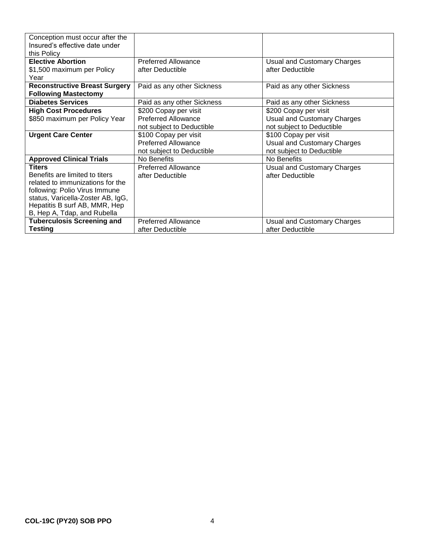| Conception must occur after the<br>Insured's effective date under<br>this Policy |                            |                                    |
|----------------------------------------------------------------------------------|----------------------------|------------------------------------|
| <b>Elective Abortion</b>                                                         | <b>Preferred Allowance</b> | Usual and Customary Charges        |
| \$1,500 maximum per Policy                                                       | after Deductible           | after Deductible                   |
| Year<br><b>Reconstructive Breast Surgery</b>                                     | Paid as any other Sickness | Paid as any other Sickness         |
| <b>Following Mastectomy</b>                                                      |                            |                                    |
| <b>Diabetes Services</b>                                                         | Paid as any other Sickness | Paid as any other Sickness         |
| <b>High Cost Procedures</b>                                                      | \$200 Copay per visit      | \$200 Copay per visit              |
| \$850 maximum per Policy Year                                                    | <b>Preferred Allowance</b> | <b>Usual and Customary Charges</b> |
|                                                                                  | not subject to Deductible  | not subject to Deductible          |
| <b>Urgent Care Center</b>                                                        | \$100 Copay per visit      | \$100 Copay per visit              |
|                                                                                  | <b>Preferred Allowance</b> | <b>Usual and Customary Charges</b> |
|                                                                                  | not subject to Deductible  | not subject to Deductible          |
| <b>Approved Clinical Trials</b>                                                  | No Benefits                | No Benefits                        |
| <b>Titers</b>                                                                    | <b>Preferred Allowance</b> | Usual and Customary Charges        |
| Benefits are limited to titers                                                   | after Deductible           | after Deductible                   |
| related to immunizations for the                                                 |                            |                                    |
| following: Polio Virus Immune                                                    |                            |                                    |
| status, Varicella-Zoster AB, IgG,                                                |                            |                                    |
| Hepatitis B surf AB, MMR, Hep                                                    |                            |                                    |
| B, Hep A, Tdap, and Rubella                                                      |                            |                                    |
| <b>Tuberculosis Screening and</b>                                                | <b>Preferred Allowance</b> | Usual and Customary Charges        |
| <b>Testing</b>                                                                   | after Deductible           | after Deductible                   |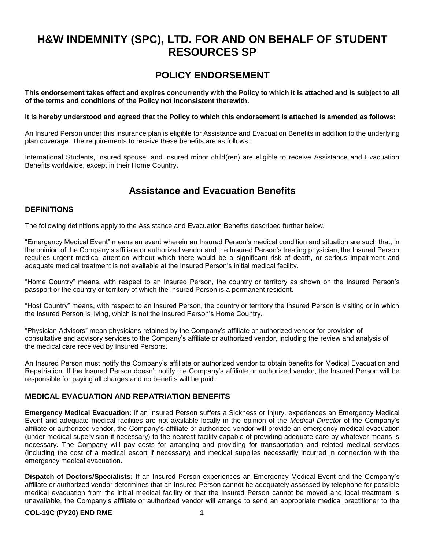## **H&W INDEMNITY (SPC), LTD. FOR AND ON BEHALF OF STUDENT RESOURCES SP**

## **POLICY ENDORSEMENT**

**This endorsement takes effect and expires concurrently with the Policy to which it is attached and is subject to all of the terms and conditions of the Policy not inconsistent therewith.**

**It is hereby understood and agreed that the Policy to which this endorsement is attached is amended as follows:**

An Insured Person under this insurance plan is eligible for Assistance and Evacuation Benefits in addition to the underlying plan coverage. The requirements to receive these benefits are as follows:

International Students, insured spouse, and insured minor child(ren) are eligible to receive Assistance and Evacuation Benefits worldwide, except in their Home Country.

## **Assistance and Evacuation Benefits**

#### **DEFINITIONS**

The following definitions apply to the Assistance and Evacuation Benefits described further below.

"Emergency Medical Event" means an event wherein an Insured Person's medical condition and situation are such that, in the opinion of the Company's affiliate or authorized vendor and the Insured Person's treating physician, the Insured Person requires urgent medical attention without which there would be a significant risk of death, or serious impairment and adequate medical treatment is not available at the Insured Person's initial medical facility.

"Home Country" means, with respect to an Insured Person, the country or territory as shown on the Insured Person's passport or the country or territory of which the Insured Person is a permanent resident.

"Host Country" means, with respect to an Insured Person, the country or territory the Insured Person is visiting or in which the Insured Person is living, which is not the Insured Person's Home Country.

"Physician Advisors" mean physicians retained by the Company's affiliate or authorized vendor for provision of consultative and advisory services to the Company's affiliate or authorized vendor, including the review and analysis of the medical care received by Insured Persons.

An Insured Person must notify the Company's affiliate or authorized vendor to obtain benefits for Medical Evacuation and Repatriation. If the Insured Person doesn't notify the Company's affiliate or authorized vendor, the Insured Person will be responsible for paying all charges and no benefits will be paid.

#### **MEDICAL EVACUATION AND REPATRIATION BENEFITS**

**Emergency Medical Evacuation:** If an Insured Person suffers a Sickness or Injury, experiences an Emergency Medical Event and adequate medical facilities are not available locally in the opinion of the *Medical Director* of the Company's affiliate or authorized vendor, the Company's affiliate or authorized vendor will provide an emergency medical evacuation (under medical supervision if necessary) to the nearest facility capable of providing adequate care by whatever means is necessary. The Company will pay costs for arranging and providing for transportation and related medical services (including the cost of a medical escort if necessary) and medical supplies necessarily incurred in connection with the emergency medical evacuation.

**Dispatch of Doctors/Specialists:** If an Insured Person experiences an Emergency Medical Event and the Company's affiliate or authorized vendor determines that an Insured Person cannot be adequately assessed by telephone for possible medical evacuation from the initial medical facility or that the Insured Person cannot be moved and local treatment is unavailable, the Company's affiliate or authorized vendor will arrange to send an appropriate medical practitioner to the

#### **COL-19C (PY20) END RME 1**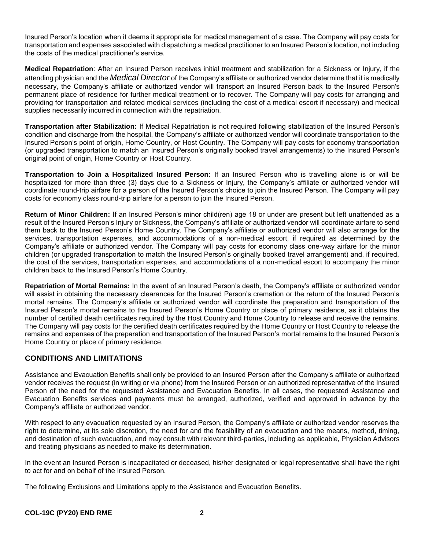Insured Person's location when it deems it appropriate for medical management of a case. The Company will pay costs for transportation and expenses associated with dispatching a medical practitioner to an Insured Person's location, not including the costs of the medical practitioner's service.

**Medical Repatriation**: After an Insured Person receives initial treatment and stabilization for a Sickness or Injury, if the attending physician and the *Medical Director* of the Company's affiliate or authorized vendor determine that it is medically necessary, the Company's affiliate or authorized vendor will transport an Insured Person back to the Insured Person's permanent place of residence for further medical treatment or to recover. The Company will pay costs for arranging and providing for transportation and related medical services (including the cost of a medical escort if necessary) and medical supplies necessarily incurred in connection with the repatriation.

**Transportation after Stabilization:** If Medical Repatriation is not required following stabilization of the Insured Person's condition and discharge from the hospital, the Company's affiliate or authorized vendor will coordinate transportation to the Insured Person's point of origin, Home Country, or Host Country. The Company will pay costs for economy transportation (or upgraded transportation to match an Insured Person's originally booked travel arrangements) to the Insured Person's original point of origin, Home Country or Host Country.

**Transportation to Join a Hospitalized Insured Person:** If an Insured Person who is travelling alone is or will be hospitalized for more than three (3) days due to a Sickness or Injury, the Company's affiliate or authorized vendor will coordinate round-trip airfare for a person of the Insured Person's choice to join the Insured Person. The Company will pay costs for economy class round-trip airfare for a person to join the Insured Person.

**Return of Minor Children:** If an Insured Person's minor child(ren) age 18 or under are present but left unattended as a result of the Insured Person's Injury or Sickness, the Company's affiliate or authorized vendor will coordinate airfare to send them back to the Insured Person's Home Country. The Company's affiliate or authorized vendor will also arrange for the services, transportation expenses, and accommodations of a non-medical escort, if required as determined by the Company's affiliate or authorized vendor. The Company will pay costs for economy class one-way airfare for the minor children (or upgraded transportation to match the Insured Person's originally booked travel arrangement) and, if required, the cost of the services, transportation expenses, and accommodations of a non-medical escort to accompany the minor children back to the Insured Person's Home Country.

**Repatriation of Mortal Remains:** In the event of an Insured Person's death, the Company's affiliate or authorized vendor will assist in obtaining the necessary clearances for the Insured Person's cremation or the return of the Insured Person's mortal remains. The Company's affiliate or authorized vendor will coordinate the preparation and transportation of the Insured Person's mortal remains to the Insured Person's Home Country or place of primary residence, as it obtains the number of certified death certificates required by the Host Country and Home Country to release and receive the remains. The Company will pay costs for the certified death certificates required by the Home Country or Host Country to release the remains and expenses of the preparation and transportation of the Insured Person's mortal remains to the Insured Person's Home Country or place of primary residence.

#### **CONDITIONS AND LIMITATIONS**

Assistance and Evacuation Benefits shall only be provided to an Insured Person after the Company's affiliate or authorized vendor receives the request (in writing or via phone) from the Insured Person or an authorized representative of the Insured Person of the need for the requested Assistance and Evacuation Benefits. In all cases, the requested Assistance and Evacuation Benefits services and payments must be arranged, authorized, verified and approved in advance by the Company's affiliate or authorized vendor.

With respect to any evacuation requested by an Insured Person, the Company's affiliate or authorized vendor reserves the right to determine, at its sole discretion, the need for and the feasibility of an evacuation and the means, method, timing, and destination of such evacuation, and may consult with relevant third-parties, including as applicable, Physician Advisors and treating physicians as needed to make its determination.

In the event an Insured Person is incapacitated or deceased, his/her designated or legal representative shall have the right to act for and on behalf of the Insured Person.

The following Exclusions and Limitations apply to the Assistance and Evacuation Benefits.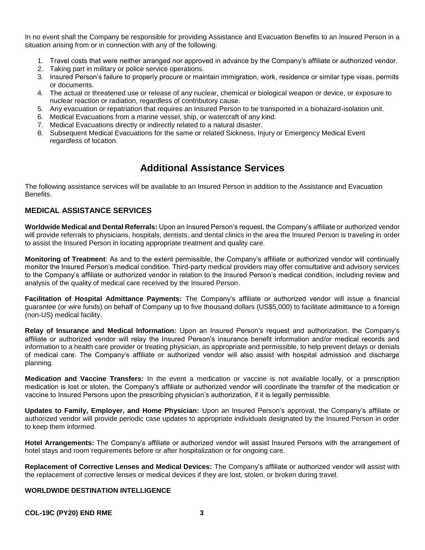In no event shall the Company be responsible for providing Assistance and Evacuation Benefits to an Insured Person in a situation arising from or in connection with any of the following:

- 1. Travel costs that were neither arranged nor approved in advance by the Company's affiliate or authorized vendor.
- 2. Taking part in military or police service operations.
- 3. Insured Person's failure to properly procure or maintain immigration, work, residence or similar type visas, permits or documents.
- 4. The actual or threatened use or release of any nuclear, chemical or biological weapon or device, or exposure to nuclear reaction or radiation, regardless of contributory cause.
- 5. Any evacuation or repatriation that requires an Insured Person to be transported in a biohazard-isolation unit.
- 6. Medical Evacuations from a marine vessel, ship, or watercraft of any kind.
- 7. Medical Evacuations directly or indirectly related to a natural disaster.
- 8. Subsequent Medical Evacuations for the same or related Sickness, Injury or Emergency Medical Event regardless of location.

## **Additional Assistance Services**

The following assistance services will be available to an Insured Person in addition to the Assistance and Evacuation Benefits.

#### **MEDICAL ASSISTANCE SERVICES**

**Worldwide Medical and Dental Referrals:** Upon an Insured Person's request, the Company's affiliate or authorized vendor will provide referrals to physicians, hospitals, dentists, and dental clinics in the area the Insured Person is traveling in order to assist the Insured Person in locating appropriate treatment and quality care.

**Monitoring of Treatment**: As and to the extent permissible, the Company's affiliate or authorized vendor will continually monitor the Insured Person's medical condition. Third-party medical providers may offer consultative and advisory services to the Company's affiliate or authorized vendor in relation to the Insured Person's medical condition, including review and analysis of the quality of medical care received by the Insured Person.

**Facilitation of Hospital Admittance Payments:** The Company's affiliate or authorized vendor will issue a financial guarantee (or wire funds) on behalf of Company up to five thousand dollars (US\$5,000) to facilitate admittance to a foreign (non-US) medical facility.

**Relay of Insurance and Medical Information:** Upon an Insured Person's request and authorization, the Company's affiliate or authorized vendor will relay the Insured Person's insurance benefit information and/or medical records and information to a health care provider or treating physician, as appropriate and permissible, to help prevent delays or denials of medical care. The Company's affiliate or authorized vendor will also assist with hospital admission and discharge planning.

**Medication and Vaccine Transfers:** In the event a medication or vaccine is not available locally, or a prescription medication is lost or stolen, the Company's affiliate or authorized vendor will coordinate the transfer of the medication or vaccine to Insured Persons upon the prescribing physician's authorization, if it is legally permissible.

**Updates to Family, Employer, and Home Physician:** Upon an Insured Person's approval, the Company's affiliate or authorized vendor will provide periodic case updates to appropriate individuals designated by the Insured Person in order to keep them informed.

**Hotel Arrangements:** The Company's affiliate or authorized vendor will assist Insured Persons with the arrangement of hotel stays and room requirements before or after hospitalization or for ongoing care.

**Replacement of Corrective Lenses and Medical Devices:** The Company's affiliate or authorized vendor will assist with the replacement of corrective lenses or medical devices if they are lost, stolen, or broken during travel.

#### **WORLDWIDE DESTINATION INTELLIGENCE**

**COL-19C (PY20) END RME 3**